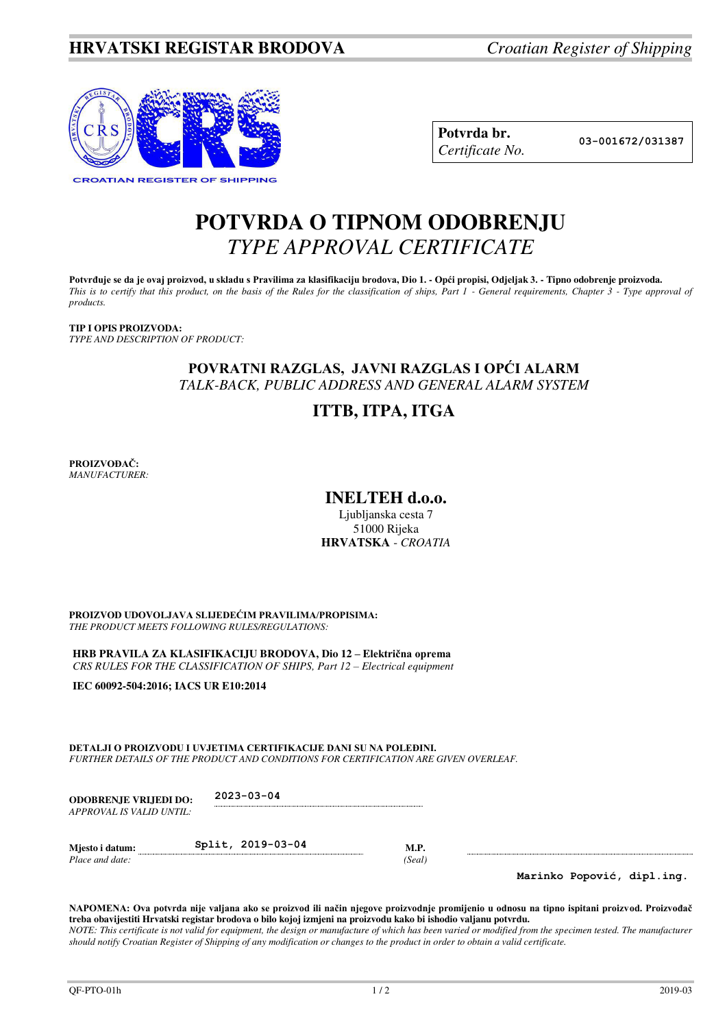

**Potvrda br. 03-001672/031387** *Certificate No.* 

# **POTVRDA O TIPNOM ODOBRENJU**  *TYPE APPROVAL CERTIFICATE*

**Potvrđuje se da je ovaj proizvod, u skladu s Pravilima za klasifikaciju brodova, Dio 1. - Opći propisi, Odjeljak 3. - Tipno odobrenje proizvoda.**  *This is to certify that this product, on the basis of the Rules for the classification of ships, Part 1 - General requirements, Chapter 3 - Type approval of products.* 

**TIP I OPIS PROIZVODA:** *TYPE AND DESCRIPTION OF PRODUCT:* 

## **POVRATNI RAZGLAS, JAVNI RAZGLAS I OPĆI ALARM** *TALK-BACK, PUBLIC ADDRESS AND GENERAL ALARM SYSTEM*

## **ITTB, ITPA, ITGA**

**PROIZVOĐAČ:** *MANUFACTURER:*

## **INELTEH d.o.o.**

Ljubljanska cesta 7 51000 Rijeka **HRVATSKA** - *CROATIA*

**PROIZVOD UDOVOLJAVA SLIJEDEĆIM PRAVILIMA/PROPISIMA:** *THE PRODUCT MEETS FOLLOWING RULES/REGULATIONS:* 

**HRB PRAVILA ZA KLASIFIKACIJU BRODOVA, Dio 12 – Električna oprema** *CRS RULES FOR THE CLASSIFICATION OF SHIPS, Part 12 – Electrical equipment* 

**IEC 60092-504:2016; IACS UR E10:2014** 

**DETALJI O PROIZVODU I UVJETIMA CERTIFIKACIJE DANI SU NA POLEĐINI.** *FURTHER DETAILS OF THE PRODUCT AND CONDITIONS FOR CERTIFICATION ARE GIVEN OVERLEAF.* 

| <b>ODOBRENJE VRLJEDI DO:</b><br>APPROVAL IS VALID UNTIL: | $2023 - 03 - 04$  |                |  |
|----------------------------------------------------------|-------------------|----------------|--|
| Mjesto i datum:<br>Place and date:                       | Split, 2019-03-04 | M.P.<br>(Seal) |  |

**Marinko Popović, dipl.ing.**

**NAPOMENA: Ova potvrda nije valjana ako se proizvod ili način njegove proizvodnje promijenio u odnosu na tipno ispitani proizvod. Proizvođač treba obavijestiti Hrvatski registar brodova o bilo kojoj izmjeni na proizvodu kako bi ishodio valjanu potvrdu.**  *NOTE: This certificate is not valid for equipment, the design or manufacture of which has been varied or modified from the specimen tested. The manufacturer should notify Croatian Register of Shipping of any modification or changes to the product in order to obtain a valid certificate.*